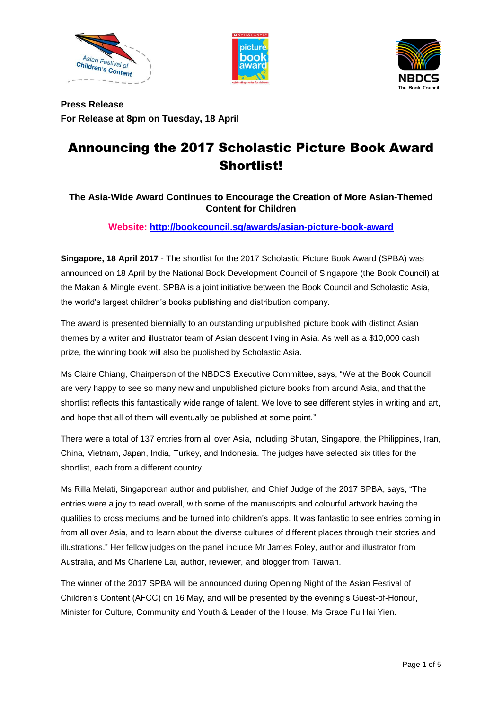





**Press Release For Release at 8pm on Tuesday, 18 April**

# Announcing the 2017 Scholastic Picture Book Award Shortlist!

# **The Asia-Wide Award Continues to Encourage the Creation of More Asian-Themed Content for Children**

# **Website:<http://bookcouncil.sg/awards/asian-picture-book-award>**

**Singapore, 18 April 2017** - The shortlist for the 2017 Scholastic Picture Book Award (SPBA) was announced on 18 April by the National Book Development Council of Singapore (the Book Council) at the Makan & Mingle event. SPBA is a joint initiative between the Book Council and Scholastic Asia, the world's largest children's books publishing and distribution company.

The award is presented biennially to an outstanding unpublished picture book with distinct Asian themes by a writer and illustrator team of Asian descent living in Asia. As well as a \$10,000 cash prize, the winning book will also be published by Scholastic Asia.

Ms Claire Chiang, Chairperson of the NBDCS Executive Committee, says, "We at the Book Council are very happy to see so many new and unpublished picture books from around Asia, and that the shortlist reflects this fantastically wide range of talent. We love to see different styles in writing and art, and hope that all of them will eventually be published at some point."

There were a total of 137 entries from all over Asia, including Bhutan, Singapore, the Philippines, Iran, China, Vietnam, Japan, India, Turkey, and Indonesia. The judges have selected six titles for the shortlist, each from a different country.

Ms Rilla Melati, Singaporean author and publisher, and Chief Judge of the 2017 SPBA, says, "The entries were a joy to read overall, with some of the manuscripts and colourful artwork having the qualities to cross mediums and be turned into children's apps. It was fantastic to see entries coming in from all over Asia, and to learn about the diverse cultures of different places through their stories and illustrations." Her fellow judges on the panel include Mr James Foley, author and illustrator from Australia, and Ms Charlene Lai, author, reviewer, and blogger from Taiwan.

The winner of the 2017 SPBA will be announced during Opening Night of the Asian Festival of Children's Content (AFCC) on 16 May, and will be presented by the evening's Guest-of-Honour, Minister for Culture, Community and Youth & Leader of the House, Ms Grace Fu Hai Yien.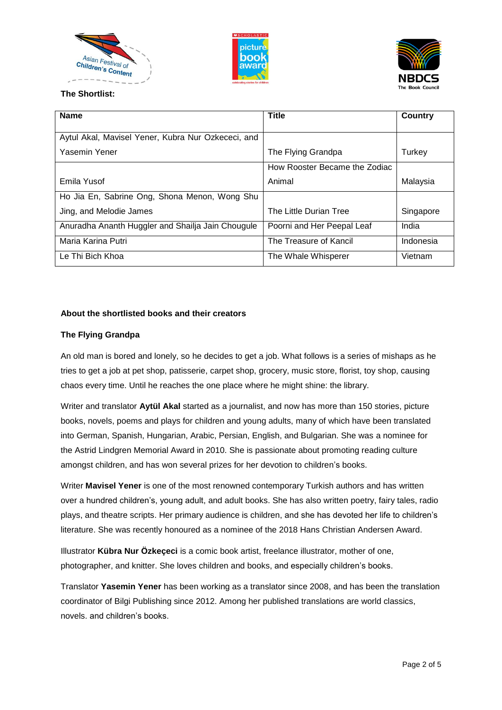





# **The Shortlist:**

| <b>Name</b>                                        | <b>Title</b>                  | <b>Country</b> |
|----------------------------------------------------|-------------------------------|----------------|
|                                                    |                               |                |
| Aytul Akal, Mavisel Yener, Kubra Nur Ozkececi, and |                               |                |
| Yasemin Yener                                      | The Flying Grandpa            | Turkey         |
|                                                    | How Rooster Became the Zodiac |                |
| Emila Yusof                                        | Animal                        | Malaysia       |
| Ho Jia En, Sabrine Ong, Shona Menon, Wong Shu      |                               |                |
| Jing, and Melodie James                            | The Little Durian Tree        | Singapore      |
| Anuradha Ananth Huggler and Shailja Jain Chougule  | Poorni and Her Peepal Leaf    | India          |
| Maria Karina Putri                                 | The Treasure of Kancil        | Indonesia      |
| Le Thi Bich Khoa                                   | The Whale Whisperer           | Vietnam        |

# **About the shortlisted books and their creators**

#### **The Flying Grandpa**

An old man is bored and lonely, so he decides to get a job. What follows is a series of mishaps as he tries to get a job at pet shop, patisserie, carpet shop, grocery, music store, florist, toy shop, causing chaos every time. Until he reaches the one place where he might shine: the library.

Writer and translator **Aytül Akal** started as a journalist, and now has more than 150 stories, picture books, novels, poems and plays for children and young adults, many of which have been translated into German, Spanish, Hungarian, Arabic, Persian, English, and Bulgarian. She was a nominee for the Astrid Lindgren Memorial Award in 2010. She is passionate about promoting reading culture amongst children, and has won several prizes for her devotion to children's books.

Writer **Mavisel Yener** is one of the most renowned contemporary Turkish authors and has written over a hundred children's, young adult, and adult books. She has also written poetry, fairy tales, radio plays, and theatre scripts. Her primary audience is children, and she has devoted her life to children's literature. She was recently honoured as a nominee of the 2018 Hans Christian Andersen Award.

Illustrator **Kübra Nur Özkeçeci** is a comic book artist, freelance illustrator, mother of one, photographer, and knitter. She loves children and books, and especially children's books.

Translator **Yasemin Yener** has been working as a translator since 2008, and has been the translation coordinator of Bilgi Publishing since 2012. Among her published translations are world classics, novels. and children's books.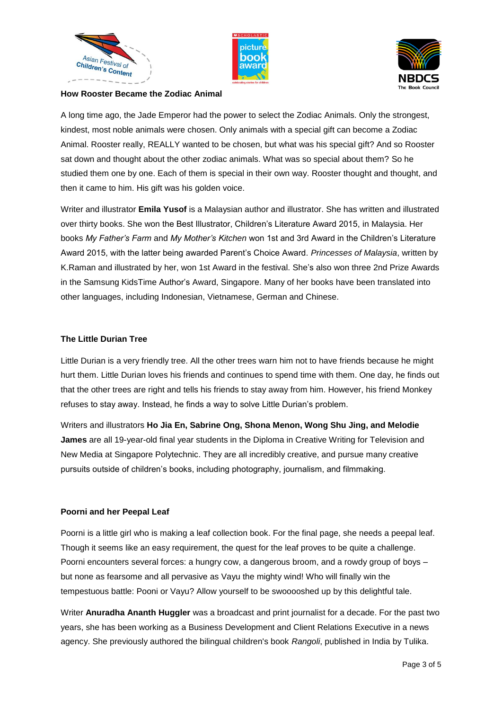





#### **How Rooster Became the Zodiac Animal**

A long time ago, the Jade Emperor had the power to select the Zodiac Animals. Only the strongest, kindest, most noble animals were chosen. Only animals with a special gift can become a Zodiac Animal. Rooster really, REALLY wanted to be chosen, but what was his special gift? And so Rooster sat down and thought about the other zodiac animals. What was so special about them? So he studied them one by one. Each of them is special in their own way. Rooster thought and thought, and then it came to him. His gift was his golden voice.

Writer and illustrator **Emila Yusof** is a Malaysian author and illustrator. She has written and illustrated over thirty books. She won the Best Illustrator, Children's Literature Award 2015, in Malaysia. Her books *My Father's Farm* and *My Mother's Kitchen* won 1st and 3rd Award in the Children's Literature Award 2015, with the latter being awarded Parent's Choice Award. *Princesses of Malaysia*, written by K.Raman and illustrated by her, won 1st Award in the festival. She's also won three 2nd Prize Awards in the Samsung KidsTime Author's Award, Singapore. Many of her books have been translated into other languages, including Indonesian, Vietnamese, German and Chinese.

## **The Little Durian Tree**

Little Durian is a very friendly tree. All the other trees warn him not to have friends because he might hurt them. Little Durian loves his friends and continues to spend time with them. One day, he finds out that the other trees are right and tells his friends to stay away from him. However, his friend Monkey refuses to stay away. Instead, he finds a way to solve Little Durian's problem.

Writers and illustrators **Ho Jia En, Sabrine Ong, Shona Menon, Wong Shu Jing, and Melodie James** are all 19-year-old final year students in the Diploma in Creative Writing for Television and New Media at Singapore Polytechnic. They are all incredibly creative, and pursue many creative pursuits outside of children's books, including photography, journalism, and filmmaking.

#### **Poorni and her Peepal Leaf**

Poorni is a little girl who is making a leaf collection book. For the final page, she needs a peepal leaf. Though it seems like an easy requirement, the quest for the leaf proves to be quite a challenge. Poorni encounters several forces: a hungry cow, a dangerous broom, and a rowdy group of boys – but none as fearsome and all pervasive as Vayu the mighty wind! Who will finally win the tempestuous battle: Pooni or Vayu? Allow yourself to be swooooshed up by this delightful tale.

Writer **Anuradha Ananth Huggler** was a broadcast and print journalist for a decade. For the past two years, she has been working as a Business Development and Client Relations Executive in a news agency. She previously authored the bilingual children's book *Rangoli*, published in India by Tulika.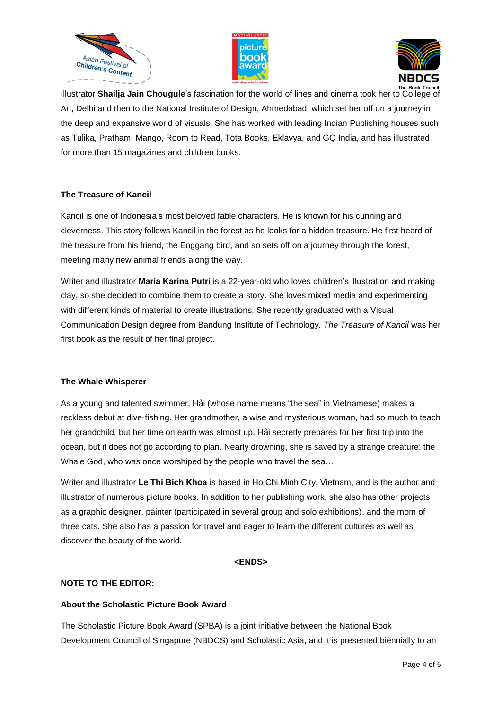





Illustrator **Shailja Jain Chougule**'s fascination for the world of lines and cinema took her to College of Art, Delhi and then to the National Institute of Design, Ahmedabad, which set her off on a journey in the deep and expansive world of visuals. She has worked with leading Indian Publishing houses such as Tulika, Pratham, Mango, Room to Read, Tota Books, Eklavya, and GQ India, and has illustrated for more than 15 magazines and children books.

## **The Treasure of Kancil**

Kancil is one of Indonesia's most beloved fable characters. He is known for his cunning and cleverness. This story follows Kancil in the forest as he looks for a hidden treasure. He first heard of the treasure from his friend, the Enggang bird, and so sets off on a journey through the forest, meeting many new animal friends along the way.

Writer and illustrator **Maria Karina Putri** is a 22-year-old who loves children's illustration and making clay, so she decided to combine them to create a story. She loves mixed media and experimenting with different kinds of material to create illustrations. She recently graduated with a Visual Communication Design degree from Bandung Institute of Technology. *The Treasure of Kancil* was her first book as the result of her final project.

#### **The Whale Whisperer**

As a young and talented swimmer, Hải (whose name means "the sea" in Vietnamese) makes a reckless debut at dive-fishing. Her grandmother, a wise and mysterious woman, had so much to teach her grandchild, but her time on earth was almost up. Hải secretly prepares for her first trip into the ocean, but it does not go according to plan. Nearly drowning, she is saved by a strange creature: the Whale God, who was once worshiped by the people who travel the sea…

Writer and illustrator **Le Thi Bich Khoa** is based in Ho Chi Minh City, Vietnam, and is the author and illustrator of numerous picture books. In addition to her publishing work, she also has other projects as a graphic designer, painter (participated in several group and solo exhibitions), and the mom of three cats. She also has a passion for travel and eager to learn the different cultures as well as discover the beauty of the world.

#### **<ENDS>**

#### **NOTE TO THE EDITOR:**

#### **About the Scholastic Picture Book Award**

The Scholastic Picture Book Award (SPBA) is a joint initiative between the National Book Development Council of Singapore (NBDCS) and Scholastic Asia, and it is presented biennially to an